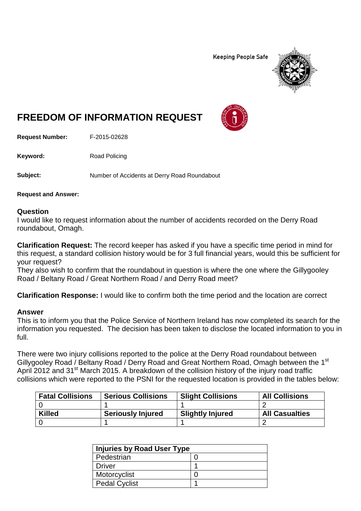**Keeping People Safe** 



## **FREEDOM OF INFORMATION REQUEST**

**Request Number:** F-2015-02628

Keyword: Road Policing

**Subject:** Number of Accidents at Derry Road Roundabout

**Request and Answer:**

## **Question**

I would like to request information about the number of accidents recorded on the Derry Road roundabout, Omagh.

**Clarification Request:** The record keeper has asked if you have a specific time period in mind for this request, a standard collision history would be for 3 full financial years, would this be sufficient for your request?

They also wish to confirm that the roundabout in question is where the one where the Gillygooley Road / Beltany Road / Great Northern Road / and Derry Road meet?

**Clarification Response:** I would like to confirm both the time period and the location are correct

## **Answer**

This is to inform you that the Police Service of Northern Ireland has now completed its search for the information you requested. The decision has been taken to disclose the located information to you in full.

There were two injury collisions reported to the police at the Derry Road roundabout between Gillygooley Road / Beltany Road / Derry Road and Great Northern Road, Omagh between the 1<sup>st</sup> April 2012 and 31<sup>st</sup> March 2015. A breakdown of the collision history of the injury road traffic collisions which were reported to the PSNI for the requested location is provided in the tables below:

| <b>Fatal Collisions</b> | <b>Serious Collisions</b> | <b>Slight Collisions</b> | <b>All Collisions</b> |
|-------------------------|---------------------------|--------------------------|-----------------------|
|                         |                           |                          |                       |
| <b>Killed</b>           | <b>Seriously Injured</b>  | <b>Slightly Injured</b>  | <b>All Casualties</b> |
|                         |                           |                          |                       |

| Injuries by Road User Type |  |  |
|----------------------------|--|--|
| Pedestrian                 |  |  |
| <b>Driver</b>              |  |  |
| Motorcyclist               |  |  |
| <b>Pedal Cyclist</b>       |  |  |